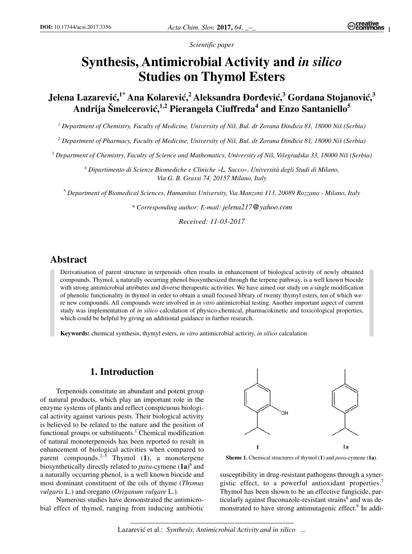*Scientific paper*

# **Synthesis, Antimicrobial Activity and** *in silico* **Studies on Thymol Esters**

 $J$ elena Lazarević,<sup>1\*</sup> Ana Kolarević,<sup>2</sup> Aleksandra Đorđević,<sup>3</sup> Gordana Stojanović,<sup>3</sup> Andrija Šmelcerović,<sup>1,2</sup> Pierangela Ciuffreda<sup>4</sup> and Enzo Santaniello<sup>5</sup>

<sup>1</sup> Department of Chemistry, Faculty of Medicine, University of Niš, Bul. dr Zorana Đinđića 81, 18000 Niš (Serbia)

<sup>2</sup> Department of Pharmacy, Faculty of Medicine, University of Niš, Bul. dr Zorana Đinđića 81, 18000 Niš (Serbia)

<sup>3</sup> Department of Chemistry, Faculty of Science and Mathematics, University of Niš, Višegradska 33, 18000 Niš (Serbia)

<sup>4</sup> *Dipartimento di Scienze Biomediche e Cliniche »L. Sacco«, Università degli Studi di Milano, Via G. B. Grassi 74, 20157 Milano, Italy*

<sup>5</sup> *Department of Biomedical Sciences, Humanitas University, Via Manzoni 113, 20089 Rozzano - Milano, Italy*

*\* Corresponding author: E-mail: jelena217@yahoo.com*

*Received: 11-03-2017*

# **Abstract**

Derivatisation of parent structure in terpenoids often results in enhancement of biological activity of newly obtained compounds. Thymol, a naturally occurring phenol biosynthesized through the terpene pathway, is a well known biocide with strong antimicrobial attributes and diverse therapeutic activities. We have aimed our study on a single modification of phenolic functionality in thymol in order to obtain a small focused library of twenty thymyl esters, ten of which were new compounds. All compounds were involved in *in vitro* antimicrobial testing. Another important aspect of current study was implementation of *in silico* calculation of physico-chemical, pharmacokinetic and toxicological properties, which could be helpful by giving an additional guidance in further research.

**Keywords:** chemical synthesis, thymyl esters, *in vitro* antimicrobial activity, *in silico* calculation

# **1. Introduction**

Terpenoids constitute an abundant and potent group of natural products, which play an important role in the enzyme systems of plants and reflect conspicuous biological activity against various pests. Their biological activity is believed to be related to the nature and the position of functional groups or substituents.<sup>1</sup> Chemical modification of natural monoterpenoids has been reported to result in enhancement of biological activities when compared to parent compounds.<sup>2–5</sup> Thymol (1), a monoterpene biosynthetically directly related to *para*-cymene (**1a**) <sup>6</sup> and a naturally occurring phenol, is a well known biocide and most dominant constituent of the oils of thyme (*Thymus vulgaris* L.) and oregano (*Origanum vulgare* L.).

Numerous studies have demonstrated the antimicrobial effect of thymol, ranging from inducing antibiotic



**Sheme 1.** Chemical structures of thymol (**1**) and *para*-cymene (**1a**).

susceptibility in drug-resistant pathogens through a synergistic effect, to a powerful antioxidant properties.<sup>7</sup> Thymol has been shown to be an effective fungicide, particularly against fluconazole-resistant strains<sup>8</sup> and was demonstrated to have strong antimutagenic effect.<sup>9</sup> In addi-

Lazarević et al.: *Synthesis, Antimicrobial Activity and in silico ...*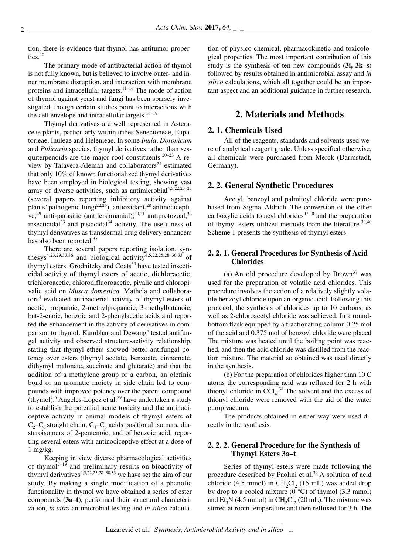tion, there is evidence that thymol has antitumor properties.<sup>10</sup>

The primary mode of antibacterial action of thymol is not fully known, but is believed to involve outer- and inner membrane disruption, and interaction with membrane proteins and intracellular targets.11–16 The mode of action of thymol against yeast and fungi has been sparsely investigated, though certain studies point to interactions with the cell envelope and intracellular targets. $16-19$ 

Thymyl derivatives are well represented in Asteraceae plants, particularly within tribes Senecioneae, Eupatorieae, Inuleae and Helenieae. In some *Inula*, *Doronicum* and *Pulicaria* species, thymyl derivatives rather than sesquiterpenoids are the major root constituents.20–23 A review by Talavera-Aleman and collaborators<sup>24</sup> estimated that only 10% of known functionalized thymyl derivatives have been employed in biological testing, showing vast array of diverse activities, such as antimicrobial $4,5,22,25-27$ (several papers reporting inhibitory activity against plants' pathogenic fungi<sup>22,26</sup>), antioxidant,<sup>28</sup> antinociceptive,<sup>29</sup> anti-parasitic (antileishmanial), $30,31$  antiprotozoal,  $32$ insecticidal $33$  and piscicidal $34$  activity. The usefulness of thymyl derivatives as transdermal drug delivery enhancers has also been reported.<sup>35</sup>

There are several papers reporting isolation, synthesys<sup>4,23,29,33,36</sup> and biological activity<sup>4,5,22,25,28–30,33</sup> of thymyl esters. Grodnitzky and Coats<sup>33</sup> have tested insecticidal activity of thymyl esters of acetic, dichloracetic, trichloroacetic, chlorodifluoroacetic, pivalic and chloropivalic acid on *Musca domestica*. Mathela and collaborators<sup>4</sup> evaluated antibacterial activity of thymyl esters of acetic, propanoic, 2-methylpropanoic, 3-methylbutanoic, but-2-enoic, benzoic and 2-phenylacetic acids and reported the enhancement in the activity of derivatives in comparison to thymol. Kumbhar and Dewang<sup>5</sup> tested antifungal activity and observed structure-activity relationship, stating that thymyl ethers showed better antifungal potency over esters (thymyl acetate, benzoate, cinnamate, dithymyl malonate, succinate and glutarate) and that the addition of a methylene group or a carbon, an olefinic bond or an aromatic moiety in side chain led to compounds with improved potency over the parent compound (thymol).<sup>5</sup> Angeles-Lopez et al.<sup>29</sup> have undertaken a study to establish the potential acute toxicity and the antinociceptive activity in animal models of thymyl esters of  $C_2-C_6$  straight chain,  $C_4-C_6$  acids positional isomers, diasteroisomers of 2-pentenoic, and of benzoic acid, reporting several esters with antinociceptive effect at a dose of 1 mg/kg.

Keeping in view diverse pharmacological activities of thymol<sup> $7-19$ </sup> and preliminary results on bioactivity of thymyl derivatives<sup>4,5,22,25,28–30,33</sup> we have set the aim of our study. By making a single modification of a phenolic functionality in thymol we have obtained a series of ester compounds (**3a**–**t**), performed their structural characterization, *in vitro* antimicrobial testing and *in silico* calculation of physico-chemical, pharmacokinetic and toxicological properties. The most important contribution of this study is the synthesis of ten new compounds (**3i, 3k**–**s**) followed by results obtained in antimicrobial assay and *in silico* calculations, which all together could be an important aspect and an additional guidance in further research.

# **2. Materials and Methods**

# **2. 1. Chemicals Used**

All of the reagents, standards and solvents used were of analytical reagent grade. Unless specified otherwise, all chemicals were purchased from Merck (Darmstadt, Germany).

## **2. 2. General Synthetic Procedures**

Acetyl, benzoyl and palmitoyl chloride were purchased from Sigma–Aldrich. The conversion of the other carboxylic acids to acyl chlorides $37,38$  and the preparation of thymyl esters utilized methods from the literature.<sup>39,40</sup> Scheme 1 presents the synthesis of thymyl esters.

# **2. 2. 1. General Procedures for Synthesis of Acid Chlorides**

(a) An old procedure developed by  $Brown^{37}$  was used for the preparation of volatile acid chlorides. This procedure involves the action of a relatively slightly volatile benzoyl chloride upon an organic acid. Following this protocol, the synthesis of chlorides up to 10 carbons, as well as 2-chloroacetyl chloride was achieved. In a roundbottom flask equipped by a fractionating column 0.25 mol of the acid and 0.375 mol of benzoyl chloride were placed The mixture was heated until the boiling point was reached, and then the acid chloride was distilled from the reaction mixture. The material so obtained was used directly in the synthesis.

(b) For the preparation of chlorides higher than 10 C atoms the corresponding acid was refluxed for 2 h with thionyl chloride in  $\text{CCI}_4$ .<sup>38</sup> The solvent and the excess of thionyl chloride were removed with the aid of the water pump vacuum.

The products obtained in either way were used directly in the synthesis.

# **2. 2. 2. General Procedure for the Synthesis of Thymyl Esters 3a–t**

Series of thymyl esters were made following the procedure described by Paolini et al.<sup>39</sup> A solution of acid chloride (4.5 mmol) in  $CH<sub>2</sub>Cl<sub>2</sub>$  (15 mL) was added drop by drop to a cooled mixture  $(0 °C)$  of thymol  $(3.3 mmol)$ and  $Et<sub>2</sub>N$  (4.5 mmol) in CH<sub>2</sub>Cl<sub>2</sub> (20 mL). The mixture was stirred at room temperature and then refluxed for 3 h. The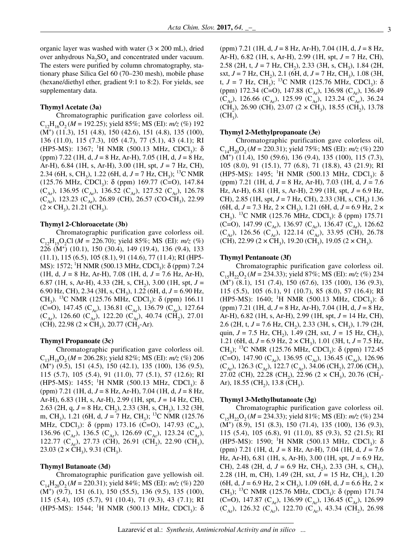organic layer was washed with water  $(3 \times 200 \text{ mL})$ , dried over anhydrous  $Na<sub>2</sub>SO<sub>4</sub>$  and concentrated under vacuum. The esters were purified by column chromatography, stationary phase Silica Gel 60 (70–230 mesh), mobile phase (hexane/diethyl ether, gradient 9:1 to 8:2). For yields, see supplementary data.

#### **Thymyl Acetate (3a)**

Chromatographic purification gave colorless oil.  $C_{12}H_{16}O_2 (M = 192.25)$ ; yield 85%; MS (EI):  $m/z$  (%) 192 (M+ ) (11.3), 151 (4.8), 150 (42.6), 151 (4.8), 135 (100), 136 (11.0), 115 (7.3), 105 (4.7), 77 (5.1), 43 (4.1); RI (HP5-MS): 1367; <sup>1</sup>H NMR (500.13 MHz, CDCl<sub>3</sub>): δ (ppm) 7.22 (1H, d, *J* = 8 Hz, Ar-H), 7.05 (1H, d, *J* = 8 Hz, Ar-H), 6.84 (1H, s, Ar-H), 3.00 (1H, spt, *J* = 7 Hz, CH), 2.34 (6H, s, CH<sub>3</sub>), 1.22 (6H, d,  $J = 7$  Hz, CH<sub>3</sub>); <sup>13</sup>C NMR (125.76 MHz, CDCl<sub>3</sub>):  $\delta$  (ppm) 169.77 (C=O), 147.84  $(C_{Ar})$ , 136.95  $(C_{Ar})$ , 136.52  $(C_{Ar})$ , 127.52  $(C_{Ar})$ , 126.78  $(C_{Ar})$ , 123.23  $(C_{Ar})$ , 26.89 (CH), 26.57 (CO-CH<sub>3</sub>), 22.99  $(2 \times CH_3)$ , 21.21 (CH<sub>3</sub>).

#### **Thymyl 2-Chloroacetate (3b)**

Chromatographic purification gave colorless oil.  $C_{12}H_{15}O_2Cl$  (*M* = 226.70); yield 85%; MS (EI):  $m/z$  (%) 226 (M<sup>+</sup> ) (10.1), 150 (30.4), 149 (19.4), 136 (9.4), 133 (11.1), 115 (6.5), 105 (8.1), 91 (14.6), 77 (11.4); RI (HP5- MS): 1572; <sup>1</sup>H NMR (500.13 MHz, CDCl<sub>3</sub>): δ (ppm) 7.24 (1H, d, *J* = 8 Hz, Ar-H), 7.08 (1H, d, *J* = 7.6 Hz, Ar-H), 6.87 (1H, s, Ar-H), 4.33 (2H, s, CH<sub>2</sub>), 3.00 (1H, spt,  $J =$ 6.90 Hz, CH), 2.34 (3H, s, CH3), 1.22 (6H, d, *J =* 6.90 Hz, CH<sub>3</sub>). <sup>13</sup>C NMR (125.76 MHz, CDCl<sub>3</sub>): δ (ppm) 166.11 (C=O), 147.45 (C<sub>Ar</sub>), 136.81 (C<sub>Ar</sub>), 136.79 (C<sub>Ar</sub>), 127.64  $(C_{Ar})$ , 126.60  $(C_{Ar})$ , 122.20  $(C_{Ar})$ , 40.74  $(CH_2)$ , 27.01  $(CH), 22.98 (2 \times CH_3), 20.77 (CH_3-Ar).$ 

#### **Thymyl Propanoate (3c)**

Chromatographic purification gave colorless oil.  $C_{13}H_{18}O_2 (M = 206.28)$ ; yield 82%; MS (EI):  $m/z$  (%) 206 (M<sup>+</sup> ) (9.5), 151 (4.5), 150 (42.1), 135 (100), 136 (9.5), 115 (5.7), 105 (5.4), 91 (11.0), 77 (5.1), 57 (12.6); RI (HP5-MS): 1455; <sup>1</sup>H NMR (500.13 MHz, CDCl<sub>3</sub>): δ (ppm) 7.21 (1H, d, *J* = 8 Hz, Ar-H), 7.04 (1H, d, *J* = 8 Hz, Ar-H), 6.83 (1H, s, Ar-H), 2.99 (1H, spt, *J* = 14 Hz, CH), 2.63 (2H, q, J = 8 Hz, CH<sub>2</sub>), 2.33 (3H, s, CH<sub>3</sub>), 1.32 (3H, m, CH<sub>3</sub>), 1.21 (6H, d, J = 7 Hz, CH<sub>3</sub>); <sup>13</sup>C NMR (125.76) MHz, CDCl<sub>3</sub>):  $\delta$  (ppm) 173.16 (C=O), 147.93 (C<sub>Ar</sub>), 136.96 (C<sub>Ar</sub>), 136.5 (C<sub>Ar</sub>), 126.69 (C<sub>Ar</sub>), 123.24 (C<sub>Ar</sub>), 122.77 ( $C_{Ar}$ ), 27.73 (CH), 26.91 (CH<sub>2</sub>), 22.90 (CH<sub>3</sub>), 23.03 ( $2 \times CH_3$ ), 9.31 (CH<sub>3</sub>).

#### **Thymyl Butanoate (3d)**

Chromatographic purification gave yellowish oil.  $C_{14}H_{20}O_2 (M = 220.31)$ ; yield 84%; MS (EI):  $m/z$  (%) 220 (M<sup>+</sup> ) (9.7), 151 (6.1), 150 (55.5), 136 (9.5), 135 (100), 115 (5.4), 105 (5.7), 91 (10.4), 71 (9.3), 43 (7.1); RI (HP5-MS): 1544; <sup>1</sup>H NMR (500.13 MHz, CDCl<sub>3</sub>): δ

(ppm) 7.21 (1H, d, *J* = 8 Hz, Ar-H), 7.04 (1H, d, *J* = 8 Hz, Ar-H), 6.82 (1H, s, Ar-H), 2.99 (1H, spt, *J* = 7 Hz, CH), 2.58 (2H, t, J = 7 Hz, CH<sub>2</sub>), 2.33 (3H, s, CH<sub>3</sub>), 1.84 (2H, sxt,  $J = 7$  Hz, CH<sub>2</sub>), 2.1 (6H, d,  $J = 7$  Hz, CH<sub>3</sub>), 1.08 (3H, t,  $J = 7$  Hz, CH<sub>3</sub>); <sup>13</sup>C NMR (125.76 MHz, CDCl<sub>3</sub>):  $\delta$ (ppm) 172.34 (C=O), 147.88 (C<sub>Ar</sub>), 136.98 (C<sub>Ar</sub>), 136.49 (C<sub>Ar</sub>), 126.66 (C<sub>Ar</sub>), 125.99 (C<sub>Ar</sub>), 123.24 (C<sub>Ar</sub>), 36.24 (CH<sub>2</sub>), 26.90 (CH), 23.07 (2  $\times$  CH<sub>3</sub>), 18.55 (CH<sub>2</sub>), 13.78  $(CH<sub>3</sub>).$ 

#### **Thymyl 2-Methylpropanoate (3e)**

Chromatographic purification gave colorless oil,  $C_{14}H_{20}O_2 (M = 220.31)$ ; yield 75%; MS (EI):  $m/z$  (%) 220 (M+ ) (11.4), 150 (59.6), 136 (9.4), 135 (100), 115 (7.3), 105 (8.0), 91 (15.1), 77 (6.8), 71 (18.8), 43 (21.9); RI (HP5-MS): 1495; <sup>1</sup>H NMR (500.13 MHz, CDCl<sub>3</sub>): δ (ppm) 7.21 (1H, d, *J* = 8 Hz, Ar-H), 7.03 (1H, d, *J* = 7.6 Hz, Ar-H), 6.81 (1H, s, Ar-H), 2.99 (1H, spt, *J* = 6.9 Hz, CH), 2.85 (1H, spt,  $J = 7$  Hz, CH), 2.33 (3H, s, CH<sub>2</sub>) 1.36  $(6H, d, J = 7.3 \text{ Hz}, 2 \times \text{CH}_3)$ , 1.21  $(6H, d, J = 6.9 \text{ Hz}, 2 \times$ CH<sub>3</sub>). <sup>13</sup>C NMR (125.76 MHz, CDCl<sub>3</sub>): δ (ppm) 175.71 (C=O), 147.99 (C<sub>Ar</sub>), 136.97 (C<sub>Ar</sub>), 136.47 (C<sub>Ar</sub>), 126.62  $(C_{Ar})$ , 126.56  $(C_{Ar})$ , 122.14  $(C_{Ar})$ , 33.95 (CH), 26.78  $(CH), 22.99 (2 \times CH_3), 19.20 (CH_3), 19.05 (2 \times CH_3).$ 

#### **Thymyl Pentanoate (3f)**

Chromatographic purification gave colorless oil.  $C_{15}H_{22}O_2 (M = 234.33)$ ; yield 87%; MS (EI):  $m/z$  (%) 234 (M<sup>+</sup> ) (8.1), 151 (7.4), 150 (67.6), 135 (100), 136 (9.3), 115 (5.5), 105 (6.1), 91 (10.7), 85 (8.0), 57 (16.4); RI (HP5-MS): 1640; <sup>1</sup>H NMR (500.13 MHz, CDCl<sub>3</sub>): δ (ppm) 7.21 (1H, d, *J* = 8 Hz, Ar-H), 7.04 (1H, d, *J* = 8 Hz, Ar-H), 6.82 (1H, s, Ar-H), 2.99 (1H, spt, *J* = 14 Hz, CH), 2.6 (2H, t, J = 7.6 Hz, CH<sub>2</sub>), 2.33 (3H, s, CH<sub>3</sub>), 1.79 (2H, quin, *J* = 7.5 Hz, CH<sub>2</sub>), 1.49 (2H, sxt, *J* = 15 Hz, CH<sub>2</sub>), 1.21 (6H, d,  $J = 6.9$  Hz,  $2 \times CH_3$ ), 1.01 (3H, t,  $J = 7.5$  Hz, CH<sub>3</sub>); <sup>13</sup>C NMR (125.76 MHz, CDCl<sub>3</sub>): δ (ppm) 172.45 (C=O), 147.90 (C<sub>Ar</sub>), 136.95 (C<sub>Ar</sub>), 136.45 (C<sub>Ar</sub>), 126.96  $(C_{Ar})$ , 126.3  $(C_{Ar})$ , 122.7  $(C_{Ar})$ , 34.06  $(CH_2)$ , 27.06  $(CH_2)$ , 27.02 (CH), 22.28 (CH<sub>2</sub>), 22.96 (2  $\times$  CH<sub>3</sub>), 20.76 (CH<sub>3</sub>-Ar), 18.55 (CH<sub>2</sub>), 13.8 (CH<sub>3</sub>).

#### **Thymyl 3-Methylbutanoate (3g)**

Chromatographic purification gave colorless oil.  $C_{15}H_{22}O_2 (M = 234.33)$ ; yield 81%; MS (EI):  $m/z$  (%) 234 (M<sup>+</sup> ) (8.9), 151 (8.3), 150 (71.4), 135 (100), 136 (9.3), 115 (5.4), 105 (6.8), 91 (11.0), 85 (9.3), 52 (21.5); RI (HP5-MS): 1590; <sup>1</sup>H NMR (500.13 MHz, CDCl<sub>3</sub>): δ (ppm) 7.21 (1H, d, *J* = 8 Hz, Ar-H), 7.04 (1H, d, *J* = 7.6 Hz, Ar-H), 6.81 (1H, s, Ar-H), 3.00 (1H, spt, *J* = 6.9 Hz, CH), 2.48 (2H, d,  $J = 6.9$  Hz, CH<sub>2</sub>), 2.33 (3H, s, CH<sub>3</sub>), 2.28 (1H, m, CH), 1.49 (2H, sxt,  $J = 15$  Hz, CH<sub>2</sub>), 1.20  $(6H, d, J = 6.9 \text{ Hz}, 2 \times \text{CH}_2)$ , 1.09 (6H, d,  $J = 6.6 \text{ Hz}, 2 \times$ CH<sub>3</sub>); <sup>13</sup>C NMR (125.76 MHz, CDCl<sub>3</sub>): δ (ppm) 171.74 (C=O), 147.87 (C<sub>Ar</sub>), 136.99 (C<sub>Ar</sub>), 136.45 (C<sub>Ar</sub>), 126.99  $(C_{Ar})$ , 126.32  $(C_{Ar})$ , 122.70  $(C_{Ar})$ , 43.34  $(CH_2)$ , 26.98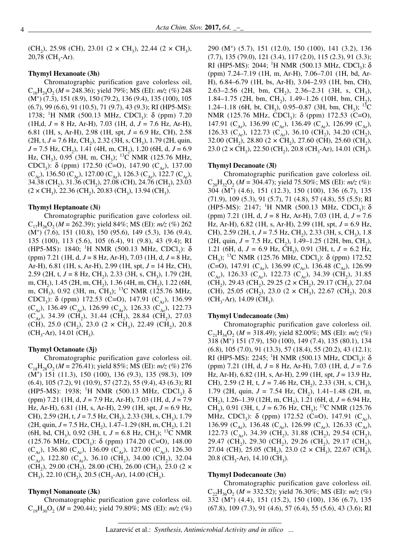(CH<sub>2</sub>), 25.98 (CH), 23.01 (2  $\times$  CH<sub>3</sub>), 22.44 (2  $\times$  CH<sub>3</sub>),  $20,78$  (CH<sub>3</sub>-Ar).

### **Thymyl Hexanoate (3h)**

Chromatographic purification gave colorless oil,  $C_{16}H_{24}O_2 (M = 248.36)$ ; yield 79%; MS (EI):  $m/z$  (%) 248 (M+ ) (7.3), 151 (8.9), 150 (79.2), 136 (9.4), 135 (100), 105 (6.7), 99 (6.6), 91 (10.5), 71 (9.7), 43 (9.3); RI (HP5-MS): 1738; <sup>1</sup>H NMR (500.13 MHz, CDCl<sub>3</sub>): δ (ppm) 7.20 (1H,d, *J* = 8 Hz, Ar-H), 7.03 (1H, d, *J* = 7.6 Hz, Ar-H), 6.81 (1H, s, Ar-H), 2.98 (1H, spt, *J* = 6.9 Hz, CH), 2.58  $(2H, t, J = 7.6 \text{ Hz}, CH_2)$ , 2.32 (3H, s, CH<sub>3</sub>), 1.79 (2H, quin,  $J = 7.5$  Hz, CH<sub>2</sub>), 1.41 (4H, m, CH<sub>2</sub>), 1.20 (6H, d,  $J = 6.9$ Hz, CH<sub>3</sub>), 0.95 (3H, m, CH<sub>3</sub>); <sup>13</sup>C NMR (125.76 MHz, CDCl<sub>3</sub>): δ (ppm) 172.50 (C=O), 147.90 (C<sub>Ar</sub>), 137.00  $(C_{Ar})$ , 136.50  $(C_{Ar})$ , 127.00  $(C_{Ar})$ , 126.3  $(C_{Ar})$ , 122.7  $(C_{Ar})$ , 34.38 (CH<sub>2</sub>), 31.36 (CH<sub>2</sub>), 27.08 (CH), 24.76 (CH<sub>2</sub>), 23.03  $(2 \times CH_3)$ , 22.36 (CH<sub>2</sub>), 20.83 (CH<sub>3</sub>), 13.94 (CH<sub>3</sub>).

#### **Thymyl Heptanoate (3i)**

Chromatographic purification gave colorless oil.  $C_{17}H_{26}O_{2}$  (*M* = 262.39); yield 84%; MS (EI): *m/z* (%) 262 (M+ ) (7.6), 151 (10.8), 150 (95.6), 149 (5.3), 136 (9.4), 135 (100), 113 (5.6), 105 (6.4), 91 (9.8), 43 (9.4); RI (HP5-MS): 1840; <sup>1</sup>H NMR (500.13 MHz, CDCl<sub>3</sub>): δ (ppm) 7.21 (1H, d, *J* = 8 Hz, Ar-H), 7.03 (1H, d, *J* = 8 Hz, Ar-H), 6.81 (1H, s, Ar-H), 2.99 (1H, spt, *J* = 14 Hz, CH), 2.59 (2H, t,  $J = 8$  Hz, CH<sub>2</sub>), 2.33 (3H, s, CH<sub>2</sub>), 1.79 (2H, m, CH<sub>2</sub>), 1.45 (2H, m, CH<sub>2</sub>), 1.36 (4H, m, CH<sub>2</sub>), 1.22 (6H, m, CH<sub>3</sub>), 0.92 (3H, m, CH<sub>3</sub>); <sup>13</sup>C NMR (125.76 MHz, CDCl<sub>3</sub>):  $\delta$  (ppm) 172.53 (C=O), 147.91 (C<sub>Ar</sub>), 136.99  $(C_{Ar})$ , 136.49  $(C_{Ar})$ , 126.99  $(C_{Ar})$ , 126.33  $(C_{Ar})$ , 122.73  $(C_{A_r}$ ), 34.39 (CH<sub>2</sub>), 31.44 (CH<sub>2</sub>), 28.84 (CH<sub>2</sub>), 27.03 (CH), 25.0 (CH<sub>2</sub>), 23.0 (2  $\times$  CH<sub>3</sub>), 22.49 (CH<sub>2</sub>), 20.8  $(CH_3-Ar)$ , 14.01  $(CH_3)$ .

#### **Thymyl Octanoate (3j)**

Chromatographic purification gave colorless oil.  $C_{18}H_{28}O_2 (M = 276.41)$ ; yield 85%; MS (EI):  $m/z$  (%) 276 (M<sup>+</sup> ) 151 (11.3), 150 (100), 136 (9.3), 135 (98.3), 109 (6.4), 105 (7.2), 91 (10.9), 57 (27.2), 55 (9.4), 43 (6.3); RI (HP5-MS): 1938; <sup>1</sup>H NMR (500.13 MHz, CDCl<sub>3</sub>)<sub>:</sub> δ (ppm) 7.21 (1H, d, *J* = 7.9 Hz, Ar-H), 7.03 (1H, d, *J* = 7.9 Hz, Ar-H), 6.81 (1H, s, Ar-H), 2.99 (1H, spt, *J* = 6.9 Hz, CH), 2.59 (2H, t,  $J = 7.5$  Hz, CH<sub>2</sub>), 2.33 (3H, s, CH<sub>3</sub>), 1.79  $(2H, qwin, J = 7.5 Hz, CH<sub>2</sub>), 1.47–1.29 (8H, m, CH<sub>2</sub>), 1.21$ (6H, bd, CH<sub>3</sub>), 0.92 (3H, t,  $J = 6.8$  Hz, CH<sub>3</sub>); <sup>13</sup>C NMR (125.76 MHz, CDCl<sub>3</sub>): δ (ppm) 174.20 (C=O), 148.00 (C<sub>Ar</sub>), 136.80 (C<sub>Ar</sub>), 136.09 (C<sub>Ar</sub>), 127.00 (C<sub>Ar</sub>), 126.30 (C<sub>Ar</sub>), 122.80 (C<sub>Ar</sub>), 36.10 (CH<sub>2</sub>), 34.00 (CH<sub>2</sub>), 32.04  $(CH_2)$ , 29.00 (CH<sub>2</sub>), 28.00 (CH), 26.00 (CH<sub>2</sub>), 23.0 (2  $\times$  $CH_3$ ), 22.10 (CH<sub>2</sub>), 20.5 (CH<sub>3</sub>-Ar), 14.00 (CH<sub>3</sub>).

#### **Thymyl Nonanoate (3k)**

Chromatographic purification gave colorless oil.  $C_{19}H_{30}O_2$  (*M* = 290.44); yield 79.80%; MS (EI):  $m/z$  (%)

290 (M<sup>+</sup> ) (5.7), 151 (12.0), 150 (100), 141 (3.2), 136 (7.7), 135 (79.0), 121 (3.4), 117 (2.0), 115 (2.3), 91 (3.3); RI (HP5-MS): 2044; <sup>1</sup>H NMR (500.13 MHz, CDCl<sub>3</sub>): δ (ppm) 7.24–7.19 (1H, m, Ar-H), 7.06–7.01 (1H, bd, Ar-H), 6.84–6.79 (1H, bs, Ar-H), 3.04–2.93 (1H, bm, CH), 2.63–2.56 (2H, bm, CH<sub>2</sub>), 2.36–2.31 (3H, s, CH<sub>3</sub>), 1.84–1.75 (2H, bm, CH<sub>2</sub>), 1.49–1.26 (10H, bm, CH<sub>2</sub>), 1.24–1.18 (6H, bt, CH<sub>3</sub>), 0.95–0.87 (3H, bm, CH<sub>3</sub>); <sup>13</sup>C NMR (125.76 MHz, CDCl<sub>3</sub>): δ (ppm) 172.53 (C=O), 147.91 ( $C_{Ar}$ ), 136.99 ( $C_{Ar}$ ), 136.49 ( $C_{Ar}$ ), 126.99 ( $C_{Ar}$ ), 126.33 ( $C_{Ar}$ ), 122.73 ( $C_{Ar}$ ), 36.10 ( $CH_2$ ), 34.20 ( $CH_2$ ), 32.00 (CH<sub>2</sub>), 28.80 (2  $\times$  CH<sub>2</sub>), 27.60 (CH), 25.60 (CH<sub>2</sub>),

 $23.0$  (2 × CH<sub>3</sub>), 22.50 (CH<sub>3</sub>), 20.8 (CH<sub>3</sub>-Ar), 14.01 (CH<sub>3</sub>).

#### **Thymyl Decanoate (3l)**

Chromatographic purification gave colorless oil.  $C_{20}H_{32}O_2$  (*M* = 304.47); yield 75.50%; MS (EI):  $m/z$  (%): 304 (M<sup>+</sup> ) (4.6), 151 (12.3), 150 (100), 136 (6.7), 135 (71.9), 109 (5.3), 91 (5.7), 71 (4.8), 57 (4.8), 55 (5.5); RI (HP5-MS): 2147; <sup>1</sup>H NMR (500.13 MHz, CDCl<sub>3</sub>): δ (ppm) 7.21 (1H, d, *J* = 8 Hz, Ar-H), 7.03 (1H, d, *J* = 7.6 Hz, Ar-H), 6.82 (1H, s, Ar-H), 2.99 (1H, spt, *J* = 6.9 Hz, CH), 2.59 (2H, t,  $J = 7.5$  Hz, CH<sub>2</sub>), 2.33 (3H, s, CH<sub>3</sub>), 1.8 (2H, quin,  $J = 7.5$  Hz, CH<sub>2</sub>), 1.49–1.25 (12H, bm, CH<sub>2</sub>), 1.21 (6H, d,  $J = 6.9$  Hz, CH<sub>3</sub>), 0.91 (3H, t,  $J = 6.2$  Hz, CH<sub>3</sub>); <sup>13</sup>C NMR (125.76 MHz, CDCl<sub>3</sub>): δ (ppm) 172.52 (C=O), 147.91 (C<sub>Ar</sub>), 136.99 (C<sub>Ar</sub>), 136.48 (C<sub>Ar</sub>), 126.99  $(C_{Ar})$ , 126.33  $(C_{Ar})$ , 122.73  $(C_{Ar})$ , 34.39  $(CH_2)$ , 31.85  $(CH_2)$ , 29.43 (CH<sub>2</sub>), 29.25 (2 × CH<sub>2</sub>), 29.17 (CH<sub>2</sub>), 27.04 (CH), 25.05 (CH<sub>2</sub>), 23.0 (2  $\times$  CH<sub>3</sub>), 22.67 (CH<sub>2</sub>), 20.8  $(CH_3$ -Ar), 14.09 (CH<sub>3</sub>).

#### **Thymyl Undecanoate (3m)**

Chromatographic purification gave colorless oil.  $C_{21}H_{34}O_2$  (*M* = 318.49); yield 82.00%; MS (EI):  $m/z$  (%) 318 (M<sup>+</sup> ) 151 (7.9), 150 (100), 149 (7.4), 135 (80.1), 134 (6.8), 105 (7.0), 91 (13.3), 57 (18.4), 55 (20.2), 43 (12.1); RI (HP5-MS): 2245; <sup>1</sup>H NMR (500.13 MHz, CDCl<sub>3</sub>): δ (ppm) 7.21 (1H, d, *J* = 8 Hz, Ar-H), 7.03 (1H, d, *J* = 7.6 Hz, Ar-H), 6.82 (1H, s, Ar-H), 2.99 (1H, spt, *J* = 13.9 Hz, CH), 2.59 (2 H, t,  $J = 7.46$  Hz, CH<sub>2</sub>), 2.33 (3H, s, CH<sub>3</sub>), 1.79 (2H, quin,  $J = 7.54$  Hz, CH<sub>2</sub>), 1.41–1.48 (2H, m, CH<sub>2</sub>), 1.26–1.39 (12H, m, CH<sub>2</sub>), 1.21 (6H, d, *J* = 6.94 Hz, CH<sub>3</sub>), 0.91 (3H, t,  $J = 6.76$  Hz, CH<sub>3</sub>); <sup>13</sup>C NMR (125.76) MHz, CDCl<sub>3</sub>):  $\delta$  (ppm) 172.52 (C=O), 147.91 (C<sub>Ar</sub>), 136.99 (C<sub>Ar</sub>), 136.48 (C<sub>Ar</sub>), 126.99 (C<sub>Ar</sub>), 126.33 (C<sub>Ar</sub>), 122.73 ( $C_{Ar}$ ), 34.39 (CH<sub>2</sub>), 31.88 (CH<sub>2</sub>), 29.54 (CH<sub>2</sub>), 29.47 (CH<sub>2</sub>), 29.30 (CH<sub>2</sub>), 29.26 (CH<sub>2</sub>), 29.17 (CH<sub>2</sub>), 27.04 (CH), 25.05 (CH<sub>2</sub>), 23.0 (2  $\times$  CH<sub>3</sub>), 22.67 (CH<sub>2</sub>),  $20.8$  (CH<sub>3</sub>-Ar), 14.10 (CH<sub>3</sub>).

#### **Thymyl Dodecanoate (3n)**

Chromatographic purification gave colorless oil.  $C_{22}H_{36}O_2$  (*M* = 332.52); yield 76.30%; MS (EI):  $m/z$  (%) 332 (M<sup>+</sup> ) (4.4), 151 (15.2), 150 (100), 136 (6.7), 135 (67.8), 109 (7.3), 91 (4.6), 57 (6.4), 55 (5.6), 43 (3.6); RI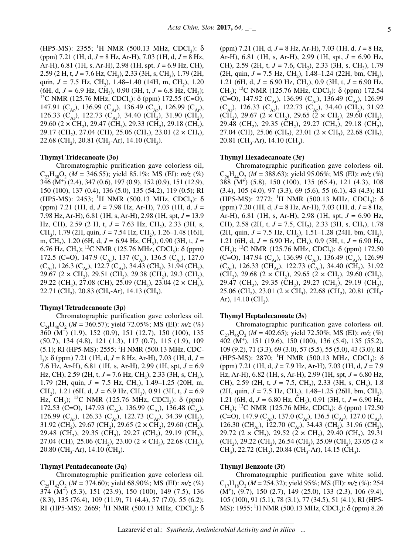(HP5-MS): 2355; <sup>1</sup>H NMR (500.13 MHz, CDCl<sub>3</sub>): δ (ppm) 7.21 (1H, d, *J* = 8 Hz, Ar-H), 7.03 (1H, d, *J* = 8 Hz, Ar-H), 6.81 (1H, s, Ar-H), 2.98 (1H, spt, *J* = 6.9 Hz, CH), 2.59 (2 H, t, J = 7.6 Hz, CH<sub>2</sub>), 2.33 (3H, s, CH<sub>3</sub>), 1.79 (2H, quin, *J* = 7.5 Hz, CH<sub>2</sub>), 1.48–1.40 (14H, m, CH<sub>2</sub>), 1.20 (6H, d, *J* = 6.9 Hz, CH<sub>3</sub>), 0.90 (3H, t, *J* = 6.8 Hz, CH<sub>3</sub>); <sup>13</sup>C NMR (125.76 MHz, CDCl<sub>3</sub>): δ (ppm) 172.55 (C=O), 147.91 (C<sub>Ar</sub>), 136.99 (C<sub>Ar</sub>), 136.49 (C<sub>Ar</sub>), 126.99 (C<sub>Ar</sub>), 126.33 ( $C_{Ar}$ ), 122.73 ( $C_{Ar}$ ), 34.40 ( $CH_2$ ), 31.90 ( $CH_2$ ), 29.60 (2  $\times$  CH<sub>2</sub>), 29.47 (CH<sub>2</sub>), 29.33 (CH<sub>2</sub>), 29.18 (CH<sub>2</sub>), 29.17 (CH<sub>2</sub>), 27.04 (CH), 25.06 (CH<sub>2</sub>), 23.01 (2  $\times$  CH<sub>2</sub>), 22.68 (CH<sub>2</sub>), 20.81 (CH<sub>3</sub>-Ar), 14.10 (CH<sub>3</sub>).

#### **Thymyl Tridecanoate (3o)**

Chromatographic purification gave colorless oil,  $C_{22}H_{28}O_2$  (*M* = 346.55); yield 85.1%; MS (EI):  $m/z$  (%) 346 (M<sup>+</sup> ) (2.4), 347 (0.6), 197 (0.9), 152 (0.9), 151 (12.9), 150 (100), 137 (0.4), 136 (5.0), 135 (54.2), 119 (0.5); RI (HP5-MS): 2453; <sup>1</sup>H NMR (500.13 MHz, CDCl<sub>3</sub>): δ (ppm) 7.21 (1H, d, *J* = 7.98 Hz, Ar-H), 7.03 (1H, d, *J* = 7.98 Hz, Ar-H), 6.81 (1H, s, Ar-H), 2.98 (1H, spt, *J* = 13.9 Hz, CH), 2.59 (2 H, t,  $J = 7.63$  Hz, CH<sub>2</sub>), 2.33 (3H, s, CH<sub>2</sub>), 1.79 (2H, quin, *J* = 7.54 Hz, CH<sub>2</sub>), 1.26–1.48 (16H, m, CH2), 1.20 (6H, d, *J =* 6.94 Hz, CH3), 0.90 (3H, t, *J* = 6.76 Hz, CH<sub>2</sub>); <sup>13</sup>C NMR (125.76 MHz, CDCl<sub>2</sub>):  $\delta$  (ppm) 172.5 (C=O), 147.9 (C<sub>Ar</sub>), 137 (C<sub>Ar</sub>), 136.5 (C<sub>Ar</sub>), 127.0  $(C_{Ar})$ , 126.3  $(C_{Ar})$ , 122.7  $(C_{Ar})$ , 34.43  $(CH_2)$ , 31.94  $(CH_2)$ , 29.67 (2  $\times$  CH<sub>2</sub>), 29.51 (CH<sub>2</sub>), 29.38 (CH<sub>2</sub>), 29.3 (CH<sub>2</sub>), 29.22 (CH<sub>2</sub>), 27.08 (CH), 25.09 (CH<sub>2</sub>), 23.04 (2  $\times$  CH<sub>3</sub>),  $22.71$  (CH<sub>2</sub>),  $20.83$  (CH<sub>3</sub>-Ar), 14.13 (CH<sub>3</sub>).

#### **Thymyl Tetradecanoate (3p)**

Chromatographic purification gave colorless oil.  $C_{24}H_{40}O_{2}$  (*M* = 360.57); yield 72.05%; MS (EI):  $m/z$  (%) 360 (M<sup>+</sup> ) (1.9), 152 (0.9), 151 (12.7), 150 (100), 135 (50.7), 134 (4.8), 121 (1.3), 117 (0.7), 115 (1.9), 109 (5.1); RI (HP5-MS): 2555; <sup>1</sup>H NMR (500.13 MHz, CDCl 3): δ (ppm) 7.21 (1H, d, *J* = 8 Hz, Ar-H), 7.03 (1H, d, *J* = 7.6 Hz, Ar-H), 6.81 (1H, s, Ar-H), 2.99 (1H, spt, *J* = 6.9 Hz, CH), 2.59 (2H, t,  $J = 7.6$  Hz, CH<sub>2</sub>), 2.33 (3H, s, CH<sub>2</sub>), 1.79 (2H, quin,  $J = 7.5$  Hz, CH<sub>2</sub>), 1.49–1.25 (20H, m, CH<sub>2</sub>), 1.21 (6H, d,  $J = 6.9$  Hz, CH<sub>2</sub>), 0.91 (3H, t,  $J = 6.9$ Hz, CH<sub>3</sub>); <sup>13</sup>C NMR (125.76 MHz, CDCl<sub>3</sub>): δ (ppm) 172.53 (C=O), 147.93 (C<sub>Ar</sub>), 136.99 (C<sub>Ar</sub>), 136.48 (C<sub>Ar</sub>), 126.99 (C<sub>Ar</sub>), 126.33 (C<sub>Ar</sub>), 122.73 (C<sub>Ar</sub>), 34.39 (CH<sub>2</sub>), 31.92 (CH<sub>2</sub>), 29.67 (CH<sub>2</sub>), 29.65 (2 × CH<sub>2</sub>), 29.60 (CH<sub>2</sub>), 29.48 (CH<sub>2</sub>), 29.35 (CH<sub>2</sub>), 29.27 (CH<sub>2</sub>), 29.19 (CH<sub>2</sub>), 27.04 (CH), 25.06 (CH<sub>2</sub>), 23.00 (2  $\times$  CH<sub>3</sub>), 22.68 (CH<sub>2</sub>),  $20.80$  (CH<sub>3</sub>-Ar), 14.10 (CH<sub>3</sub>).

### **Thymyl Pentadecanoate (3q)**

Chromatographic purification gave colorless oil.  $C_{25}H_{42}O_{2}$  (*M* = 374.60); yield 68.90%; MS (EI):  $m/z$  (%) 374 (M<sup>+</sup> ) (5.3), 151 (23.9), 150 (100), 149 (7.5), 136 (8.3), 135 (76.4), 109 (11.9), 71 (4.4), 57 (7.0), 55 (6.2); RI (HP5-MS): 2669; <sup>1</sup>H NMR (500.13 MHz, CDCl<sub>3</sub>): δ

(ppm) 7.21 (1H, d, *J* = 8 Hz, Ar-H), 7.03 (1H, d, *J* = 8 Hz, Ar-H), 6.81 (1H, s, Ar-H), 2.99 (1H, spt, *J* = 6.90 Hz, CH), 2.59 (2H, t, *J* = 7.6, CH<sub>2</sub>), 2.33 (3H, s, CH<sub>3</sub>), 1.79 (2H, quin,  $J = 7.5$  Hz, CH<sub>2</sub>), 1.48–1.24 (22H, bm, CH<sub>2</sub>), 1.21 (6H, d,  $J = 6.90$  Hz, CH<sub>2</sub>), 0.9 (3H, t,  $J = 6.90$  Hz, CH<sub>3</sub>); <sup>13</sup>C NMR (125.76 MHz, CDCl<sub>3</sub>): δ (ppm) 172.54 (C=O), 147.92 (C<sub>Ar</sub>), 136.99 (C<sub>Ar</sub>), 136.49 (C<sub>Ar</sub>), 126.99  $(C_{Ar})$ , 126.33  $(C_{Ar})$ , 122.73  $(C_{Ar})$ , 34.40  $(CH_2)$ , 31.92  $(CH_2)$ , 29.67 (2 × CH<sub>2</sub>), 29.65 (2 × CH<sub>2</sub>), 29.60 (CH<sub>2</sub>), 29.48 (CH<sub>2</sub>), 29.35 (CH<sub>2</sub>), 29.27 (CH<sub>2</sub>), 29.18 (CH<sub>2</sub>), 27.04 (CH), 25.06 (CH<sub>2</sub>), 23.01 (2  $\times$  CH<sub>3</sub>), 22.68 (CH<sub>2</sub>), 20.81 (CH<sub>3</sub>-Ar), 14.10 (CH<sub>3</sub>).

#### **Thymyl Hexadecanoate (3r)**

Chromatographic purification gave colorless oil.  $C_{26}H_{44}O_{2}$  (*M* = 388.63); yield 95.06%; MS (EI):  $m/z$  (%) 388 (M<sup>+</sup> ) (5.8), 150 (100), 135 (65.4), 121 (4.3), 108 (3.4), 105 (4.0), 97 (3.3), 69 (5.6), 55 (6.1), 43 (4.3); RI (HP5-MS): 2772; <sup>1</sup>H NMR (500.13 MHz, CDCl<sub>3</sub>): δ (ppm) 7.20 (1H, d, *J* = 8 Hz, Ar-H), 7.03 (1H, d, *J* = 8 Hz, Ar-H), 6.81 (1H, s, Ar-H), 2.98 (1H, spt, *J* = 6.90 Hz, CH), 2.58 (2H, t,  $J = 7.5$ , CH<sub>2</sub>), 2.33 (3H, s, CH<sub>2</sub>), 1.78  $(2H, quin, J = 7.5 Hz, CH<sub>2</sub>), 1.51–1.28 (24H, bm, CH<sub>2</sub>),$ 1.21 (6H, d,  $J = 6.90$  Hz, CH<sub>3</sub>), 0.9 (3H, t,  $J = 6.90$  Hz, CH<sub>2</sub>); <sup>13</sup>C NMR (125.76 MHz, CDCl<sub>3</sub>): δ (ppm) 172.50 (C=O), 147.94 (C<sub>Ar</sub>), 136.99 (C<sub>Ar</sub>), 136.49 (C<sub>Ar</sub>), 126.99  $(C_{Ar})$ , 126.33 (CH<sub>Ar</sub>), 122.73 (C<sub>Ar</sub>), 34.40 (CH<sub>2</sub>), 31.92  $(CH_2)$ , 29.68 (2 × CH<sub>2</sub>), 29.65 (2 × CH<sub>2</sub>), 29.60 (CH<sub>2</sub>), 29.47 (CH<sub>2</sub>), 29.35 (CH<sub>2</sub>), 29.27 (CH<sub>2</sub>), 29.19 (CH<sub>2</sub>), 25.06 (CH<sub>2</sub>), 23.01 (2  $\times$  CH<sub>3</sub>), 22.68 (CH<sub>2</sub>), 20.81 (CH<sub>3</sub>-Ar),  $14.10 \, (CH<sub>3</sub>)$ .

### **Thymyl Heptadecanoate (3s)**

Chromatographic purification gave colorless oil.  $C_{27}H_{46}O_2$  (*M* = 402.65); yield 72.50%; MS (EI):  $m/z$  (%) 402 (M<sup>+</sup> ), 151 (19.6), 150 (100), 136 (5.4), 135 (55.2), 109 (9.2), 71 (3.3), 69 (3.0), 57 (5.5), 55 (5.0), 43 (3.0); RI (HP5-MS): 2870; <sup>1</sup>H NMR (500.13 MHz, CDCl<sub>3</sub>): δ (ppm) 7.21 (1H, d, *J* = 7.9 Hz, Ar-H), 7.03 (1H, d, *J* = 7.9 Hz, Ar-H), 6.82 (1H, s, Ar-H), 2.99 (1H, spt, *J* = 6.80 Hz, CH), 2.59 (2H, t,  $J = 7.5$ , CH<sub>3</sub>), 2.33 (3H, s, CH<sub>3</sub>), 1.8  $(2H, quin, J = 7.5 Hz, CH<sub>2</sub>), 1.48–1.25 (26H, bm, CH<sub>2</sub>),$ 1.21 (6H, d,  $J = 6.80$  Hz, CH<sub>3</sub>), 0.91 (3H, t,  $J = 6.90$  Hz, CH<sub>3</sub>); <sup>13</sup>C NMR (125.76 MHz, CDCl<sub>3</sub>): δ (ppm) 172.50 (C=O), 147.9 (C<sub>Ar</sub>), 137.0 (C<sub>Ar</sub>), 136.5 (C<sub>Ar</sub>), 127.0 (C<sub>Ar</sub>), 126.30 (CH<sub>Ar</sub>), 122.70 (C<sub>Ar</sub>), 34.43 (CH<sub>2</sub>), 31.96 (CH<sub>2</sub>), 29.72 (2  $\times$  CH<sub>2</sub>), 29.52 (2  $\times$  CH<sub>2</sub>), 29.40 (CH<sub>2</sub>), 29.31  $(CH_2)$ , 29.22 (CH<sub>2</sub>), 26.54 (CH<sub>2</sub>), 25.09 (CH<sub>2</sub>), 23.05 (2  $\times$ CH<sub>3</sub>), 22.72 (CH<sub>2</sub>), 20.84 (CH<sub>3</sub>-Ar), 14.15 (CH<sub>3</sub>).

#### **Thymyl Benzoate (3t)**

Chromatographic purification gave white solid.  $C_{17}H_{18}O_2 (M = 254.32)$ ; yield 95%; MS (EI):  $m/z$  (%): 254 (M<sup>+</sup> ), (9.7), 150 (2.7), 149 (25.0), 133 (2.3), 106 (9.4), 105 (100), 91 (5.1), 78 (3.1), 77 (34.5), 51 (4.1); RI (HP5- MS): 1955; <sup>1</sup>H NMR (500.13 MHz, CDCl<sub>3</sub>): δ (ppm) 8.26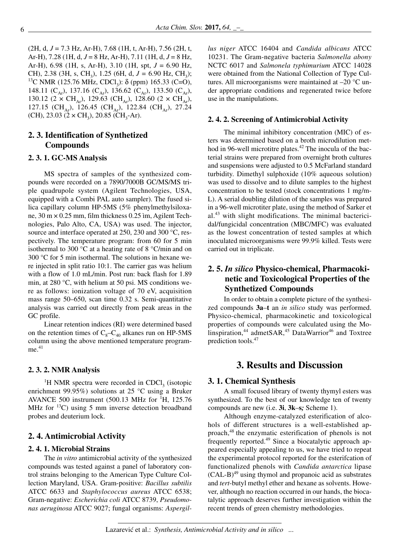(2H, d, *J* = 7.3 Hz, Ar-H), 7.68 (1H, t, Ar-H), 7.56 (2H, t, Ar-H), 7.28 (1H, d, *J* = 8 Hz, Ar-H), 7.11 (1H, d, *J* = 8 Hz, Ar-H), 6.98 (1H, s, Ar-H), 3.10 (1H, spt, *J* = 6.90 Hz, CH), 2.38 (3H, s, CH<sub>3</sub>), 1.25 (6H, d, *J* = 6.90 Hz, CH<sub>3</sub>); <sup>13</sup>C NMR (125.76 MHz, CDCl<sub>3</sub>): δ (ppm) 165.33 (C=O), 148.11 ( $C_{Ar}$ ), 137.16 ( $C_{Ar}$ ), 136.62 ( $C_{Ar}$ ), 133.50 ( $C_{Ar}$ ), 130.12 (2  $\times$  CH<sub>Ar</sub>), 129.63 (CH<sub>Ar</sub>), 128.60 (2  $\times$  CH<sub>Ar</sub>), 127.15 (CH<sub>Ar</sub>), 126.45 (CH<sub>Ar</sub>), 122.84 (CH<sub>Ar</sub>), 27.24 (CH), 23.03 (2  $\times$  CH<sub>3</sub>), 20.85 (CH<sub>3</sub>-Ar).

# **2. 3. Identification of Synthetized Compounds**

# **2. 3. 1. GC-MS Analysis**

MS spectra of samples of the synthesized compounds were recorded on a 7890/7000B GC/MS/MS triple quadrupole system (Agilent Technologies, USA, equipped with a Combi PAL auto sampler). The fused silica capillary column HP-5MS (5% phenylmethylsiloxane, 30 m × 0.25 mm, film thickness 0.25 ìm, Agilent Technologies, Palo Alto, CA, USA) was used. The injector, source and interface operated at 250, 230 and 300 °C, respectively. The temperature program: from 60 for 5 min isothermal to 300 °C at a heating rate of 8 °C/min and on 300 °C for 5 min isothermal. The solutions in hexane were injected in split ratio 10:1. The carrier gas was helium with a flow of 1.0 mL/min. Post run: back flash for 1.89 min, at 280 °C, with helium at 50 psi. MS conditions were as follows: ionization voltage of 70 eV, acquisition mass range 50–650, scan time 0.32 s. Semi-quantitative analysis was carried out directly from peak areas in the GC profile.

Linear retention indices (RI) were determined based on the retention times of  $C_8-C_{40}$  alkanes run on HP-5MS column using the above mentioned temperature program $me<sup>.41</sup>$ 

### **2. 3. 2. NMR Analysis**

<sup>1</sup>H NMR spectra were recorded in CDCl<sub>3</sub> (isotopic enrichment 99.95%) solutions at 25 °C using a Bruker AVANCE 500 instrument  $(500.13 \text{ MHz}$  for  $^{1}H$ , 125.76 MHz for  $^{13}$ C) using 5 mm inverse detection broadband probes and deuterium lock.

# **2. 4. Antimicrobial Activity**

## **2. 4. 1. Microbial Strains**

The *in vitro* antimicrobial activity of the synthesized compounds was tested against a panel of laboratory control strains belonging to the American Type Culture Collection Maryland, USA. Gram-positive: *Bacillus subtilis* ATCC 6633 and *Staphylococcus aureus* ATCC 6538; Gram-negative: *Escherichia coli* ATCC 8739, *Pseudomonas aeruginosa* ATCC 9027; fungal organisms: *Aspergil-* *lus niger* ATCC 16404 and *Candida albicans* ATCC 10231. The Gram-negative bacteria *Salmonella abony* NCTC 6017 and *Salmonela typhimurium* ATCC 14028 were obtained from the National Collection of Type Cultures. All microorganisms were maintained at –20 °C under appropriate conditions and regenerated twice before use in the manipulations.

#### **2. 4. 2. Screening of Antimicrobial Activity**

The minimal inhibitory concentration (MIC) of esters was determined based on a broth microdilution method in 96-well microtitre plates.<sup>42</sup> The inocula of the bacterial strains were prepared from overnight broth cultures and suspensions were adjusted to 0.5 McFarland standard turbidity. Dimethyl sulphoxide (10% aqueous solution) was used to dissolve and to dilute samples to the highest concentration to be tested (stock concentrations 1 mg/m-L). A serial doubling dilution of the samples was prepared in a 96-well microtiter plate, using the method of Sarker et al.<sup>43</sup> with slight modifications. The minimal bactericidal/fungicidal concentration (MBC/MFC) was evaluated as the lowest concentration of tested samples at which inoculated microorganisms were 99.9% killed. Tests were carried out in triplicate.

# **2. 5.** *In silico* **Physico-chemical, Pharmacokinetic and Toxicological Properties of the Synthetized Compounds**

In order to obtain a complete picture of the synthesized compounds **3a**–**t** an *in silico* study was performed. Physico-chemical, pharmacokinetic and toxicological properties of compounds were calculated using the Molinspiration,<sup>44</sup> admetSAR,<sup>45</sup> DataWarrior<sup>46</sup> and Toxtree prediction tools.<sup>47</sup>

# **3. Results and Discussion**

### **3. 1. Chemical Synthesis**

A small focused library of twenty thymyl esters was synthesized. To the best of our knowledge ten of twenty compounds are new (i.e. **3i**, **3k**–**s***;* Scheme 1).

Although enzyme-catalyzed esterification of alcohols of different structures is a well-established approach,<sup>48</sup> the enzymatic esterification of phenols is not frequently reported.<sup>49</sup> Since a biocatalytic approach appeared especially appealing to us, we have tried to repeat the experimental protocol reported for the esterifcation of functionalized phenols with *Candida antarctica* lipase (CAL-B)<sup>49</sup> using thymol and propanoic acid as substrates and *tert*-butyl methyl ether and hexane as solvents. However, although no reaction occurred in our hands, the biocatalytic approach deserves further investigation within the recent trends of green chemistry methodologies.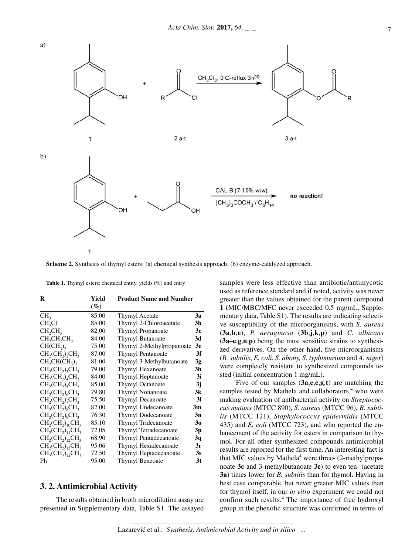

**Scheme 2.** Synthesis of thymyl esters: (a) chemical synthesis approach; (b) enzyme-catalyzed approach.

Table 1. Thymyl esters: chemical entity, yields (%) and entry

| R                                               | Yield  | <b>Product Name and Number</b> |                |
|-------------------------------------------------|--------|--------------------------------|----------------|
|                                                 | $(\%)$ |                                |                |
| CH <sub>3</sub>                                 | 85.00  | Thymyl Acetate                 | 3a             |
| CH <sub>2</sub> Cl                              | 85.00  | Thymyl 2-Chloroacetate         | 3 <sub>b</sub> |
| CH <sub>2</sub> CH <sub>3</sub>                 | 82.00  | Thymyl Propanoate              | 3c             |
| CH <sub>2</sub> CH <sub>3</sub> CH <sub>3</sub> | 84.00  | <b>Thymyl Butanoate</b>        | 3d             |
| $CH(CH_3)$                                      | 75.00  | Thymyl 2-Methylpropanoate      | 3e             |
| $CH2(CH2)2CH3$                                  | 87.00  | <b>Thymyl Pentanoate</b>       | 3f             |
| $CH,CH(CH_3),$                                  | 81.00  | Thymyl 3-Methylbutanoate       | 3g             |
| $CH2(CH2)3CH3$                                  | 79.00  | Thymyl Hexanoate               | 3h             |
| $CH2(CH2)4CH3$                                  | 84.00  | Thymyl Heptanoate              | 3i             |
| $CH2(CH2)5CH3$                                  | 85.00  | <b>Thymyl Octanoate</b>        | 3j             |
| $CH2(CH2)6CH3$                                  | 79.80  | <b>Thymyl Nonanoate</b>        | 3k             |
| $CH2(CH2)7CH3$                                  | 75.50  | <b>Thymyl Decanoate</b>        | <b>31</b>      |
| $CH2(CH2)8CH3$                                  | 82.00  | Thymyl Undecanoate             | 3m             |
| $CH2(CH2)9CH3$                                  | 76.30  | Thymyl Dodecanoate             | 3n             |
| $CH2(CH2)10CH3$                                 | 85.10  | Thymyl Tridecanoate            | 30             |
| $CH2(CH2)11CH3$                                 | 72.05  | Thymyl Tetradecanoate          | 3p             |
| $CH2(CH2)12CH3$                                 | 68.90  | Thymyl Pentadecanoate          | 3q             |
| $CH_2(CH_2)_{13}CH_3$                           | 95.06  | Thymyl Hexadecanoate           | 3r             |
| $CH_2(CH_2)_{14}CH_3$                           | 72.50  | Thymyl Heptadecanoate          | 3s             |
| Ph                                              | 95.00  | Thymyl Benzoate                | 3t             |
|                                                 |        |                                |                |

### **3. 2. Antimicrobial Activity**

The results obtained in broth microdilution assay are presented in Supplementary data, Table S1. The assayed samples were less effective than antibiotic/antimycotic used as reference standard and if noted, activity was never greater than the values obtained for the parent compound **1** (MIC/MBC/MFC never exceeded 0.5 mg/mL, Supplementary data, Table S1). The results are indicating selective susceptibility of the microorganisms, with *S. aureus* (**3a**,**b**,**e**), *P. aeruginosa* (**3b**,**j**,**k**,**p**) and *C. albicans* (**3a**–**e**,**g**,**n**,**p**) being the most sensitive strains to synthesized derivatives. On the other hand, five microorganisms (*B. subtilis*, *E. coli*, *S. abony, S. typhimurium* and *A. niger*) were completely resistant to synthesized compounds tested (initial concentration 1 mg/mL).

Five of our samples (**3a**,**c**,**e**,**g**,**t**) are matching the samples tested by Mathela and collaborators, $4$  who were making evaluation of antibacterial activity on *Streptococcus mutans* (MTCC 890), *S. aureus* (MTCC 96), *B. subtilis* (MTCC 121), *Staphylococcus epidermidis* (MTCC 435) and *E. coli* (MTCC 723), and who reported the enhancement of the activity for esters in comparison to thymol. For all other synthesized compounds antimicrobial results are reported for the first time. An interesting fact is that MIC values by Mathela<sup>4</sup> were three- $(2$ -methylpropanoate **3c** and 3-methylbutanoate **3e**) to even ten- (acetate **3a**) times lower for *B. subtilis* than for thymol. Having in best case comparable, but never greater MIC values than for thymol itself, in our *in vitro* experiment we could not confirm such results.<sup>4</sup> The importance of free hydroxyl group in the phenolic structure was confirmed in terms of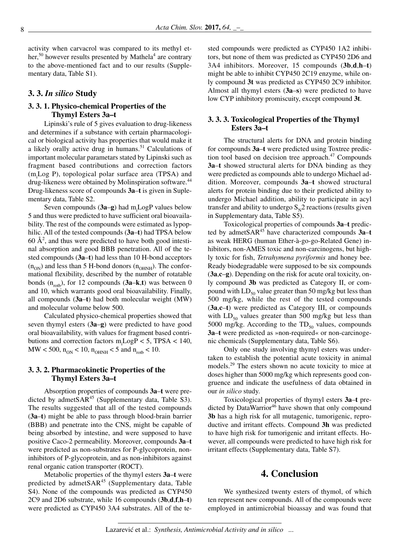activity when carvacrol was compared to its methyl ether,<sup>50</sup> however results presented by Mathela<sup>4</sup> are contrary to the above-mentioned fact and to our results (Supplementary data, Table S1).

# **3. 3.** *In silico* **Study**

# **3. 3. 1. Physico-chemical Properties of the Thymyl Esters 3a–t**

Lipinski's rule of 5 gives evaluation to drug-likeness and determines if a substance with certain pharmacological or biological activity has properties that would make it a likely orally active drug in humans. $51$  Calculations of important molecular parametars stated by Lipinski such as fragment based contributions and correction factors  $(m_i Log P)$ , topological polar surface area (TPSA) and drug-likeness were obtained by Molinspiration software.<sup>44</sup> Drug-likeness score of compounds **3a**–**t** is given in Suplementary data, Table S2.

Seven compounds (**3a–g**) had m<sub>i</sub>LogP values below 5 and thus were predicted to have sufficient oral bioavailability. The rest of the compounds were estimated as lypophilic. All of the tested compounds (**3a**–**t**) had TPSA below  $60 \text{ Å}^2$ , and thus were predicted to have both good intestinal absorption and good BBB penetration. All of the tested compounds (**3a**–**t**) had less than 10 H-bond acceptors  $(n_{ON})$  and less than 5 H-bond donors  $(n_{OHNH})$ . The conformational flexibility, described by the number of rotatable bonds  $(n_{\text{roth}})$ , for 12 compounds  $(3a-k,t)$  was between 0 and 10, which warrants good oral bioavailability. Finally, all compounds (**3a**–**t**) had both molecular weight (MW) and molecular volume below 500.

Calculated physico-chemical properties showed that seven thymyl esters (**3a**–**g**) were predicted to have good oral bioavailability, with values for fragment based contributions and correction factors  $m_i Log P < 5$ , TPSA < 140,  $\text{MW} < 500$ ,  $n_{\text{ON}} < 10$ ,  $n_{\text{OHNH}} < 5$  and  $n_{\text{rotb}} < 10$ .

# **3. 3. 2. Pharmacokinetic Properties of the Thymyl Esters 3a–t**

Absorption properties of compounds **3a**–**t** were predicted by admet $SAR<sup>45</sup>$  (Supplementary data, Table S3). The results suggested that all of the tested compounds (**3a**–**t**) might be able to pass through blood-brain barrier (BBB) and penetrate into the CNS, might be capable of being absorbed by intestine, and were supposed to have positive Caco-2 permeability. Moreover, compounds **3a**–**t** were predicted as non-substrates for P-glycoprotein, noninhibitors of P-glycoprotein, and as non-inhibitors against renal organic cation transporter (ROCT).

Metabolic properties of the thymyl esters **3a**–**t** were predicted by admet $SAR<sup>45</sup>$  (Supplementary data, Table S4). None of the compounds was predicted as CYP450 2C9 and 2D6 substrate, while 16 compounds (**3b**,**d**,**f**,**h**–**t**) were predicted as CYP450 3A4 substrates. All of the tested compounds were predicted as CYP450 1A2 inhibitors, but none of them was predicted as CYP450 2D6 and 3A4 inhibitors. Moreover, 15 compounds (**3b**,**d**,**h**–**t**) might be able to inhibit CYP450 2C19 enzyme, while only compound **3t** was predicted as CYP450 2C9 inhibitor. Almost all thymyl esters (**3a**–**s**) were predicted to have low CYP inhibitory promiscuity, except compound **3t**.

# **3. 3. 3. Toxicological Properties of the Thymyl Esters 3a–t**

The structural alerts for DNA and protein binding for compounds **3a**–**t** were predicted using Toxtree prediction tool based on decision tree approach. $47$  Compounds **3a**–**t** showed structural alerts for DNA binding as they were predicted as compounds able to undergo Michael addition. Moreover, compounds **3a**–**t** showed structural alerts for protein binding due to their predicted ability to undergo Michael addition, ability to participate in acyl transfer and ability to undergo  $S_N^2$  reactions (results given in Supplementary data, Table S5).

Toxicological properties of compounds **3a**–**t** predicted by admetSAR<sup>45</sup> have characterized compounds **3a**–**t** as weak HERG (human Ether-à-go-go-Related Gene) inhibitors, non-AMES toxic and non-carcinogens, but highly toxic for fish, *Tetrahymena pyriformis* and honey bee. Ready biodegradable were supposed to be six compounds (**3a**,**c**–**g**). Depending on the risk for acute oral toxicity, only compound **3b** was predicted as Category II, or compound with  $LD_{50}$  value greater than 50 mg/kg but less than 500 mg/kg, while the rest of the tested compounds (**3a**,**c**–**t**) were predicted as Category III, or compounds with  $LD_{50}$  values greater than 500 mg/kg but less than 5000 mg/kg. According to the  $TD_{50}$  values, compounds **3a**–**t** were predicted as »non-required« or non-carcinogenic chemicals (Supplementary data, Table S6).

Only one study involving thymyl esters was undertaken to establish the potential acute toxicity in animal models.<sup>29</sup> The esters shown no acute toxicity to mice at doses higher than 5000 mg/kg which represents good congruence and indicate the usefulness of data obtained in our *in silico* study.

Toxicological properties of thymyl esters **3a**–**t** predicted by DataWarrior<sup>46</sup> have shown that only compound **3b** has a high risk for all mutagenic, tumorigenic, reproductive and irritant effects. Compound **3h** was predicted to have high risk for tumorigenic and irritant effects. However, all compounds were predicted to have high risk for irritant effects (Supplementary data, Table S7).

# **4. Conclusion**

We synthesized twenty esters of thymol, of which ten represent new compounds. All of the compounds were employed in antimicrobial bioassay and was found that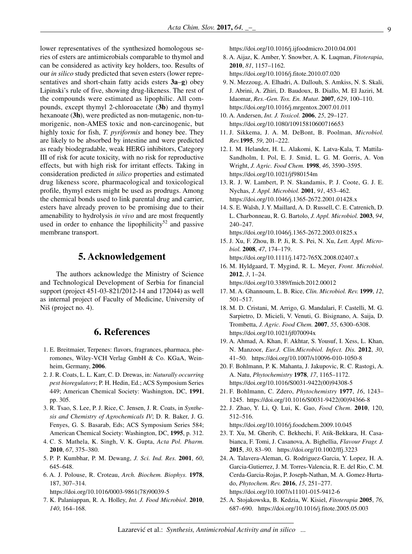lower representatives of the synthesized homologous series of esters are antimicrobials comparable to thymol and can be considered as activity key holders, too. Results of our *in silico* study predicted that seven esters (lower representatives and short-chain fatty acids esters **3a**–**g**) obey Lipinski's rule of five, showing drug-likeness. The rest of the compounds were estimated as lipophilic. All compounds, except thymyl 2-chloroacetate (**3b**) and thymyl hexanoate (**3h**), were predicted as non-mutagenic, non-tumorigenic, non-AMES toxic and non-carcinogenic, but highly toxic for fish, *T. pyriformis* and honey bee. They are likely to be absorbed by intestine and were predicted as ready biodegradable, weak HERG inhibitors, Category III of risk for acute toxicity, with no risk for reproductive effects, but with high risk for irritant effects. Taking in consideration predicted *in silico* properties and estimated drug likeness score, pharmacological and toxicological profile, thymyl esters might be used as prodrugs. Among the chemical bonds used to link parental drug and carrier, esters have already proven to be promising due to their amenability to hydrolysis *in vivo* and are most frequently used in order to enhance the lipophilicity<sup>52</sup> and passive membrane transport.

# **5. Acknowledgement**

The authors acknowledge the Ministry of Science and Technological Development of Serbia for financial support (project 451-03-821/2012-14 and 172044) as well as internal project of Faculty of Medicine, University of Niš (project no. 4).

# **6. References**

- 1. E. Breitmaier, Terpenes: flavors, fragrances, pharmaca, pheromones, Wiley-VCH Verlag GmbH & Co. KGaA, Weinheim, Germany, **2006**.
- 2. J. R. Coats, L. L. Karr, C. D. Drewas, in: *Naturally occurring pest bioregulators*; P. H. Hedin, Ed.; ACS Symposium Series 449; American Chemical Society: Washington, DC, **1991**, pp. 305.
- 3. R. Tsao, S. Lee, P. J. Rice, C. Jensen, J. R. Coats, in *Synthesis and Chemistry of Agrochemicals IV*; D. R. Baker, J. G. Fenyes, G. S. Basarab, Eds; ACS Symposium Series 584; American Chemical Society: Washington, DC, **1995**, p. 312.
- 4. C. S. Mathela, K. Singh, V. K. Gupta, *Acta Pol. Pharm.* **2010**, *67*, 375–380.
- 5. P. P. Kumbhar, P. M. Dewang, *J. Sci. Ind. Res.* **2001**, *60*, 645–648.
- 6. A. J. Polouse, R. Croteau, *Arch. Biochem. Biophys.* **1978**, 187, 307–314.

https://doi.org/10.1016/0003-9861(78)90039-5

7. K. Palaniappan, R. A. Holley, *Int. J. Food Microbiol*. **2010**, *140*, 164–168.

https://doi.org/10.1016/j.ijfoodmicro.2010.04.001

- 8. A. Aijaz, K. Amber, Y. Snowber, A. K. Luqman, *Fitoterapia*, **2010**, *81*, 1157–1162. https://doi.org/10.1016/j.fitote.2010.07.020
- 9. N. Mezzoug, A. Elhadri, A. Dallouh, S. Amkiss, N. S. Skali, J. Abrini, A. Zhiri, D. Baudoux, B. Diallo, M. El Jaziri, M. Idaomar, *Res.-Gen. Tox. En. Mutat*. **2007**, *629*, 100–110. https://doi.org/10.1016/j.mrgentox.2007.01.011
- 10. A. Andersen, *Int. J. Toxicol.* **2006**, *25*, 29–127. https://doi.org/10.1080/10915810600716653
- 11. J. Sikkema, J. A. M. DeBont, B. Poolman, *Microbiol. Rev.***1995**, *59*, 201–222.
- 12. I. M. Helander, H. L. Alakomi, K. Latva-Kala, T. Mattila-Sandholm, I. Pol, E. J. Smid, L. G. M. Gorris, A. Von Wright, *J. Agric. Food Chem.* **1998**, *46*, 3590–3595. https://doi.org/10.1021/jf980154m
- 13. R. J. W. Lambert, P. N. Skandamis, P. J. Coote, G. J. E. Nychas, *J. Appl. Microbiol.* **2001**, *91*, 453–462. https://doi.org/10.1046/j.1365-2672.2001.01428.x
- 14. S. E. Walsh, J. Y. Maillard, A. D. Russell, C. E. Catrenich, D. L. Charbonneau, R. G. Bartolo, *J. Appl. Microbiol.* **2003**, *94*, 240–247.

https://doi.org/10.1046/j.1365-2672.2003.01825.x

- 15. J. Xu, F. Zhou, B. P. Ji, R. S. Pei, N. Xu, *Lett. Appl. Microbiol.* **2008**, *47*, 174–179. https://doi.org/10.1111/j.1472-765X.2008.02407.x
- 16. M. Hyldgaard, T. Mygind, R. L. Meyer, *Front. Microbiol*. **2012**, *3*, 1–24.

https://doi.org/10.3389/fmicb.2012.00012

- 17. M. A. Ghannoum, L. B. Rice, *Clin. Microbiol. Rev.* **1999**, *12*, 501–517.
- 18. M. D. Cristani, M. Arrigo, G. Mandalari, F. Castelli, M. G. Sarpietro, D. Micieli, V. Venuti, G. Bisignano, A. Saija, D. Trombetta, *J. Agric. Food Chem.* **2007**, *55*, 6300–6308. https://doi.org/10.1021/jf070094x
- 19. A. Ahmad, A. Khan, F. Akhtar, S. Yousuf, I. Xess, L. Khan, N. Manzoor, *Eur.J. Clin.Microbiol. Infect. Dis.* **2012**, *30*, 41–50. https://doi.org/10.1007/s10096-010-1050-8
- 20. F. Bohlmann, P. K. Mahanta, J. Jakupovic, R. C. Rastogi, A. A. Natu, *Phytochemistry* **1978**, *17*, 1165–1172. https://doi.org/10.1016/S0031-9422(00)94308-5
- 21. F. Bohlmann, C. Zdero, *Phytochemistry* **1977**, *16*, 1243– 1245. https://doi.org/10.1016/S0031-9422(00)94366-8
- 22. J. Zhao, Y. Li, Q. Lui, K. Gao, *Food Chem*. **2010**, 120, 512–516.

https://doi.org/10.1016/j.foodchem.2009.10.045

- 23. T. Xu, M. Gherib, C. Bekhechi, F. Atik-Bekkara, H. Casabianca, F. Tomi, J. Casanova, A. Bighellia, *Flavour Fragr. J.* **2015**, *30*, 83–90. https://doi.org/10.1002/ffj.3223
- 24. A. Talavera-Aleman, G. Rodriguez-Garcia, Y. Lopez, H. A. Garcia-Gutierrez, J. M. Torres-Valencia, R. E. del Rio, C. M. Cerda-Garcia-Rojas, P. Joseph-Nathan, M. A. Gomez-Hurtado, *Phytochem. Rev.* **2016**, *15*, 251–277. https://doi.org/10.1007/s11101-015-9412-6
- 25. A. Stojakowska, B. Kedzia, W. Kisiel, *Fitoterapia* **2005**, *76*, 687–690. https://doi.org/10.1016/j.fitote.2005.05.003

### Lazarević et al.: *Synthesis, Antimicrobial Activity and in silico ...*